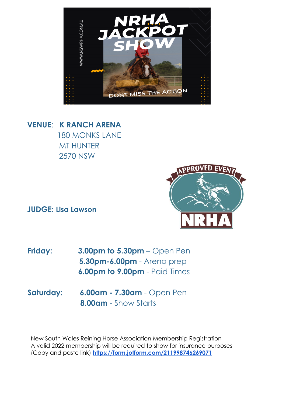

**VENUE**: **K RANCH ARENA** 180 MONKS LANE MT HUNTER 2570 NSW

**JUDGE: Lisa Lawson**



- **Friday: 3.00pm to 5.30pm** Open Pen **5.30pm-6.00pm** - Arena prep **6.00pm to 9.00pm** - Paid Times
- **Saturday: 6.00am - 7.30am** Open Pen **8.00am** - Show Starts

New South Wales Reining Horse Association Membership Registration A valid 2022 membership will be required to show for insurance purposes (Copy and paste link) **<https://form.jotform.com/211998746269071>**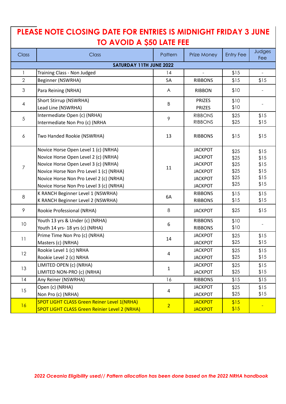# **PLEASE NOTE CLOSING DATE FOR ENTRIES IS MIDNIGHT FRIDAY 3 JUNE TO AVOID A \$50 LATE FEE**

| <b>Class</b>            | Class                                                | Pattern        | Prize Money    | <b>Entry Fee</b> | Judges<br>Fee |
|-------------------------|------------------------------------------------------|----------------|----------------|------------------|---------------|
| SATURDAY 11TH JUNE 2022 |                                                      |                |                |                  |               |
| $\mathbf{1}$            | Training Class - Non Judged                          | 14             |                | \$15             |               |
| $\overline{2}$          | Beginner (NSWRHA)                                    | 5A             | <b>RIBBONS</b> | \$15             | \$15          |
| $\mathfrak{Z}$          | Para Reining (NRHA)                                  | A              | <b>RIBBON</b>  | \$10             |               |
| $\overline{4}$          | Short Stirrup (NSWRHA)                               | B              | <b>PRIZES</b>  | \$10             |               |
|                         | Lead Line (NSWRHA)                                   |                | <b>PRIZES</b>  | \$10             |               |
| 5                       | Intermediate Open (c) (NRHA)                         | $\mathcal{P}$  | <b>RIBBONS</b> | \$25             | \$15          |
|                         | Intermediate Non Pro (c) (NRHA                       |                | <b>RIBBONS</b> | \$25             | \$15          |
| 6                       | Two Handed Rookie (NSWRHA)                           | 13             | <b>RIBBONS</b> | \$15             | \$15          |
| $\overline{7}$          | Novice Horse Open Level 1 (c) (NRHA)                 | 11             | <b>JACKPOT</b> | \$25             | \$15          |
|                         | Novice Horse Open Level 2 (c) (NRHA)                 |                | <b>JACKPOT</b> | \$25             | \$15          |
|                         | Novice Horse Open Level 3 (c) (NRHA)                 |                | <b>JACKPOT</b> | \$25             | \$15          |
|                         | Novice Horse Non Pro Level 1 (c) (NRHA)              |                | <b>JACKPOT</b> | \$25             | \$15          |
|                         | Novice Horse Non Pro Level 2 (c) (NRHA)              |                | <b>JACKPOT</b> | \$25             | \$15          |
|                         | Novice Horse Non Pro Level 3 (c) (NRHA)              |                | <b>JACKPOT</b> | \$25             | \$15          |
| 8                       | K RANCH Beginner Level 1 (NSWRHA)                    | 6A             | <b>RIBBONS</b> | \$15             | \$15          |
|                         | K RANCH Beginner Level 2 (NSWRHA)                    |                | <b>RIBBONS</b> | \$15             | \$15          |
| 9                       | Rookie Professional (NRHA)                           | 8              | <b>JACKPOT</b> | \$25             | \$15          |
| 10 <sup>°</sup>         | Youth 13 yrs & Under (c) (NRHA)                      | 6              | <b>RIBBONS</b> | \$10             |               |
|                         | Youth 14 yrs- 18 yrs (c) (NRHA)                      |                | <b>RIBBONS</b> | \$10             |               |
| 11                      | Prime Time Non Pro (c) (NRHA)                        | 14             | <b>JACKPOT</b> | \$25             | \$15          |
|                         | Masters (c) (NRHA)                                   |                | <b>JACKPOT</b> | \$25             | \$15          |
| 12                      | Rookie Level 1 (c) NRHA                              | 4              | <b>JACKPOT</b> | \$25             | \$15          |
|                         | Rookie Level 2 (c) NRHA                              |                | <b>JACKPOT</b> | \$25             | \$15          |
| 13                      | LIMITED OPEN (c) (NRHA)                              | $\mathbf{1}$   | <b>JACKPOT</b> | \$25             | \$15          |
|                         | LIMITED NON-PRO (c) (NRHA)                           |                | <b>JACKPOT</b> | \$25             | \$15          |
| 14                      | Any Reiner (NSWRHA)                                  | 16             | <b>RIBBONS</b> | \$15             | \$15          |
| 15                      | Open (c) (NRHA)                                      | $\overline{a}$ | <b>JACKPOT</b> | \$25             | \$15          |
|                         | Non Pro (c) (NRHA)                                   |                | <b>JACKPOT</b> | \$25             | \$15          |
| 16                      | <b>SPOT LIGHT CLASS Green Reiner Level 1(NRHA)</b>   | 2 <sup>1</sup> | <b>JACKPOT</b> | \$15             |               |
|                         | <b>SPOT LIGHT CLASS Green Reinier Level 2 (NRHA)</b> |                | <b>JACKPOT</b> | \$15             |               |